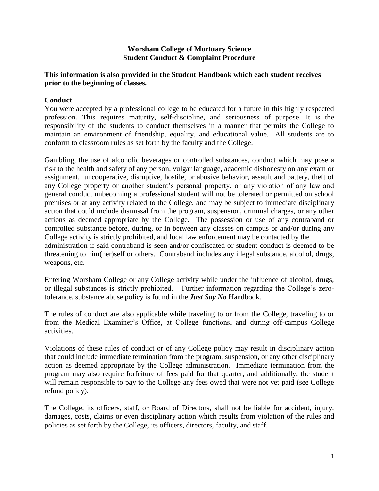#### **Worsham College of Mortuary Science Student Conduct & Complaint Procedure**

### **This information is also provided in the Student Handbook which each student receives prior to the beginning of classes.**

### **Conduct**

You were accepted by a professional college to be educated for a future in this highly respected profession. This requires maturity, self-discipline, and seriousness of purpose. It is the responsibility of the students to conduct themselves in a manner that permits the College to maintain an environment of friendship, equality, and educational value. All students are to conform to classroom rules as set forth by the faculty and the College.

Gambling, the use of alcoholic beverages or controlled substances, conduct which may pose a risk to the health and safety of any person, vulgar language, academic dishonesty on any exam or assignment, uncooperative, disruptive, hostile, or abusive behavior, assault and battery, theft of any College property or another student's personal property, or any violation of any law and general conduct unbecoming a professional student will not be tolerated or permitted on school premises or at any activity related to the College, and may be subject to immediate disciplinary action that could include dismissal from the program, suspension, criminal charges, or any other actions as deemed appropriate by the College. The possession or use of any contraband or controlled substance before, during, or in between any classes on campus or and/or during any College activity is strictly prohibited, and local law enforcement may be contacted by the administration if said contraband is seen and/or confiscated or student conduct is deemed to be threatening to him(her)self or others. Contraband includes any illegal substance, alcohol, drugs, weapons, etc.

Entering Worsham College or any College activity while under the influence of alcohol, drugs, or illegal substances is strictly prohibited. Further information regarding the College's zerotolerance, substance abuse policy is found in the *Just Say No* Handbook.

The rules of conduct are also applicable while traveling to or from the College, traveling to or from the Medical Examiner's Office, at College functions, and during off-campus College activities.

Violations of these rules of conduct or of any College policy may result in disciplinary action that could include immediate termination from the program, suspension, or any other disciplinary action as deemed appropriate by the College administration. Immediate termination from the program may also require forfeiture of fees paid for that quarter, and additionally, the student will remain responsible to pay to the College any fees owed that were not yet paid (see College refund policy).

The College, its officers, staff, or Board of Directors, shall not be liable for accident, injury, damages, costs, claims or even disciplinary action which results from violation of the rules and policies as set forth by the College, its officers, directors, faculty, and staff.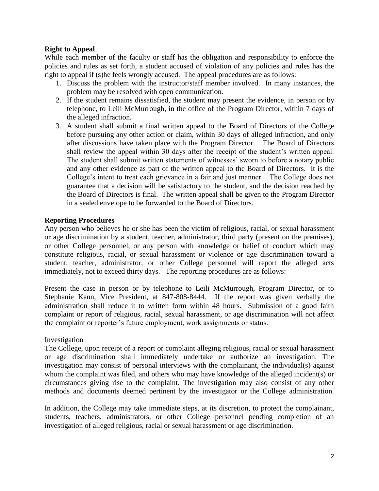## **Right to Appeal**

While each member of the faculty or staff has the obligation and responsibility to enforce the policies and rules as set forth, a student accused of violation of any policies and rules has the right to appeal if (s)he feels wrongly accused. The appeal procedures are as follows:

- 1. Discuss the problem with the instructor/staff member involved. In many instances, the problem may be resolved with open communication.
- 2. If the student remains dissatisfied, the student may present the evidence, in person or by telephone, to Leili McMurrough, in the office of the Program Director, within 7 days of the alleged infraction.
- 3. A student shall submit a final written appeal to the Board of Directors of the College before pursuing any other action or claim, within 30 days of alleged infraction, and only after discussions have taken place with the Program Director. The Board of Directors shall review the appeal within 30 days after the receipt of the student's written appeal. The student shall submit written statements of witnesses' sworn to before a notary public and any other evidence as part of the written appeal to the Board of Directors. It is the College's intent to treat each grievance in a fair and just manner. The College does not guarantee that a decision will be satisfactory to the student, and the decision reached by the Board of Directors is final. The written appeal shall be given to the Program Director in a sealed envelope to be forwarded to the Board of Directors.

### **Reporting Procedures**

Any person who believes he or she has been the victim of religious, racial, or sexual harassment or age discrimination by a student, teacher, administrator, third party (present on the premises), or other College personnel, or any person with knowledge or belief of conduct which may constitute religious, racial, or sexual harassment or violence or age discrimination toward a student, teacher, administrator, or other College personnel will report the alleged acts immediately, not to exceed thirty days. The reporting procedures are as follows:

Present the case in person or by telephone to Leili McMurrough, Program Director, or to Stephanie Kann, Vice President, at 847-808-8444. If the report was given verbally the administration shall reduce it to written form within 48 hours. Submission of a good faith complaint or report of religious, racial, sexual harassment, or age discrimination will not affect the complaint or reporter's future employment, work assignments or status.

#### Investigation

The College, upon receipt of a report or complaint alleging religious, racial or sexual harassment or age discrimination shall immediately undertake or authorize an investigation. The investigation may consist of personal interviews with the complainant, the individual(s) against whom the complaint was filed, and others who may have knowledge of the alleged incident(s) or circumstances giving rise to the complaint. The investigation may also consist of any other methods and documents deemed pertinent by the investigator or the College administration.

In addition, the College may take immediate steps, at its discretion, to protect the complainant, students, teachers, administrators, or other College personnel pending completion of an investigation of alleged religious, racial or sexual harassment or age discrimination.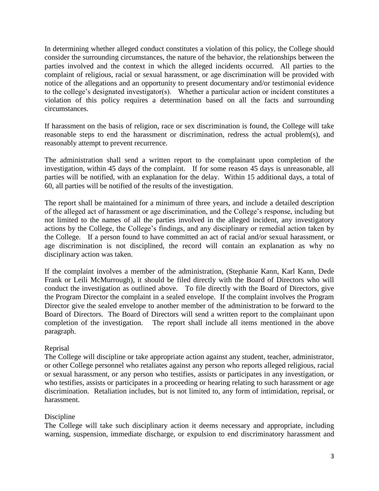In determining whether alleged conduct constitutes a violation of this policy, the College should consider the surrounding circumstances, the nature of the behavior, the relationships between the parties involved and the context in which the alleged incidents occurred. All parties to the complaint of religious, racial or sexual harassment, or age discrimination will be provided with notice of the allegations and an opportunity to present documentary and/or testimonial evidence to the college's designated investigator(s). Whether a particular action or incident constitutes a violation of this policy requires a determination based on all the facts and surrounding circumstances.

If harassment on the basis of religion, race or sex discrimination is found, the College will take reasonable steps to end the harassment or discrimination, redress the actual problem(s), and reasonably attempt to prevent recurrence.

The administration shall send a written report to the complainant upon completion of the investigation, within 45 days of the complaint. If for some reason 45 days is unreasonable, all parties will be notified, with an explanation for the delay. Within 15 additional days, a total of 60, all parties will be notified of the results of the investigation.

The report shall be maintained for a minimum of three years, and include a detailed description of the alleged act of harassment or age discrimination, and the College's response, including but not limited to the names of all the parties involved in the alleged incident, any investigatory actions by the College, the College's findings, and any disciplinary or remedial action taken by the College. If a person found to have committed an act of racial and/or sexual harassment, or age discrimination is not disciplined, the record will contain an explanation as why no disciplinary action was taken.

If the complaint involves a member of the administration, (Stephanie Kann, Karl Kann, Dede Frank or Leili McMurrough), it should be filed directly with the Board of Directors who will conduct the investigation as outlined above. To file directly with the Board of Directors, give the Program Director the complaint in a sealed envelope. If the complaint involves the Program Director give the sealed envelope to another member of the administration to be forward to the Board of Directors. The Board of Directors will send a written report to the complainant upon completion of the investigation. The report shall include all items mentioned in the above paragraph.

# Reprisal

The College will discipline or take appropriate action against any student, teacher, administrator, or other College personnel who retaliates against any person who reports alleged religious, racial or sexual harassment, or any person who testifies, assists or participates in any investigation, or who testifies, assists or participates in a proceeding or hearing relating to such harassment or age discrimination. Retaliation includes, but is not limited to, any form of intimidation, reprisal, or harassment.

# Discipline

The College will take such disciplinary action it deems necessary and appropriate, including warning, suspension, immediate discharge, or expulsion to end discriminatory harassment and